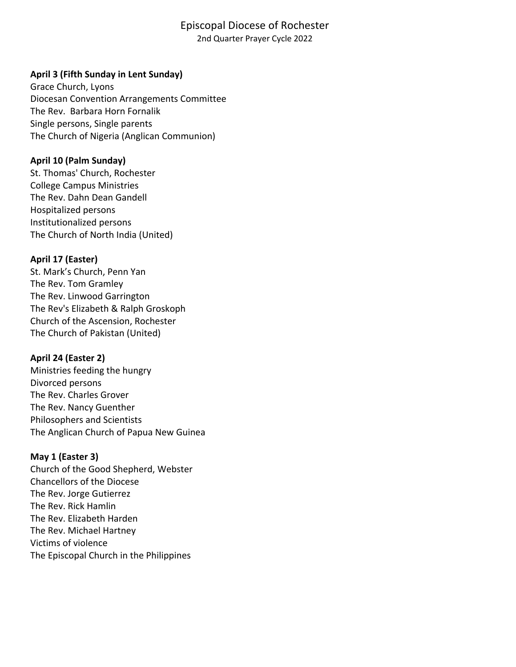# Episcopal Diocese of Rochester

2nd Quarter Prayer Cycle 2022

### **April 3 (Fifth Sunday in Lent Sunday)**

Grace Church, Lyons Diocesan Convention Arrangements Committee The Rev. Barbara Horn Fornalik Single persons, Single parents The Church of Nigeria (Anglican Communion)

#### **April 10 (Palm Sunday)**

St. Thomas' Church, Rochester College Campus Ministries The Rev. Dahn Dean Gandell Hospitalized persons Institutionalized persons The Church of North India (United)

### **April 17 (Easter)**

St. Mark's Church, Penn Yan The Rev. Tom Gramley The Rev. Linwood Garrington The Rev's Elizabeth & Ralph Groskoph Church of the Ascension, Rochester The Church of Pakistan (United)

### **April 24 (Easter 2)**

Ministries feeding the hungry Divorced persons The Rev. Charles Grover The Rev. Nancy Guenther Philosophers and Scientists The Anglican Church of Papua New Guinea

#### **May 1 (Easter 3)**

Church of the Good Shepherd, Webster Chancellors of the Diocese The Rev. Jorge Gutierrez The Rev. Rick Hamlin The Rev. Elizabeth Harden The Rev. Michael Hartney Victims of violence The Episcopal Church in the Philippines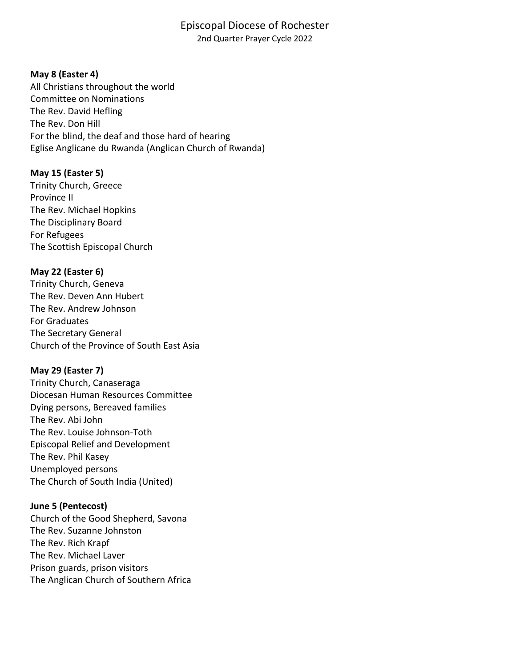### Episcopal Diocese of Rochester 2nd Quarter Prayer Cycle 2022

### **May 8 (Easter 4)**

All Christians throughout the world Committee on Nominations The Rev. David Hefling The Rev. Don Hill For the blind, the deaf and those hard of hearing Eglise Anglicane du Rwanda (Anglican Church of Rwanda)

### **May 15 (Easter 5)**

Trinity Church, Greece Province II The Rev. Michael Hopkins The Disciplinary Board For Refugees The Scottish Episcopal Church

### **May 22 (Easter 6)**

Trinity Church, Geneva The Rev. Deven Ann Hubert The Rev. Andrew Johnson For Graduates The Secretary General Church of the Province of South East Asia

# **May 29 (Easter 7)**

Trinity Church, Canaseraga Diocesan Human Resources Committee Dying persons, Bereaved families The Rev. Abi John The Rev. Louise Johnson-Toth Episcopal Relief and Development The Rev. Phil Kasey Unemployed persons The Church of South India (United)

### **June 5 (Pentecost)**

Church of the Good Shepherd, Savona The Rev. Suzanne Johnston The Rev. Rich Krapf The Rev. Michael Laver Prison guards, prison visitors The Anglican Church of Southern Africa